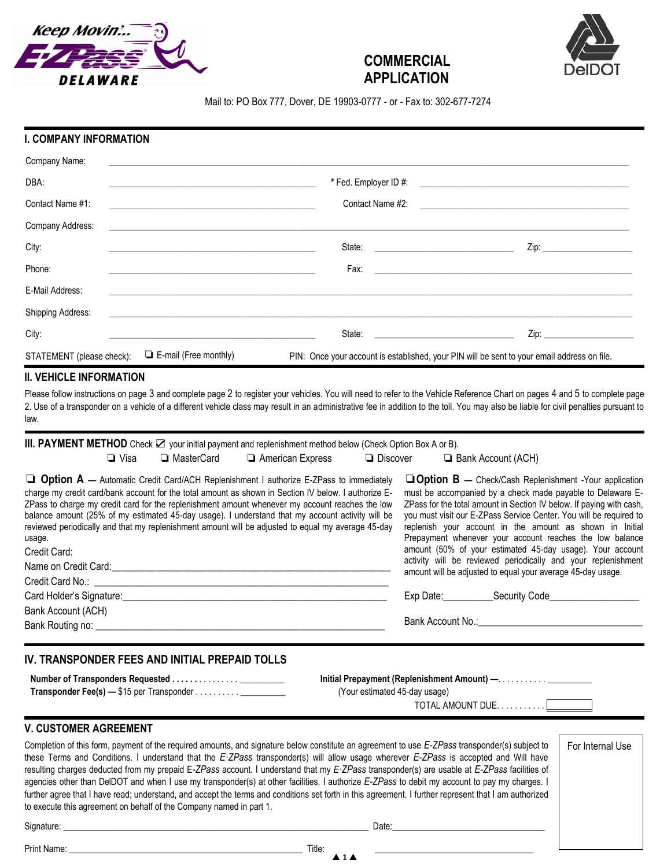





Mail to: PO Box 777, Dover, DE 19903-0777 - or - Fax to: 302-677-7274

#### **I. COMPANY INFORMATION**

| Company Name:             |                                                                                                                       |                                                                                                                      |                                                                       |
|---------------------------|-----------------------------------------------------------------------------------------------------------------------|----------------------------------------------------------------------------------------------------------------------|-----------------------------------------------------------------------|
| DBA:                      |                                                                                                                       |                                                                                                                      |                                                                       |
| Contact Name #1:          | <u> 1980 - Johann Stoff, deutscher Stoff, der Stoff, der Stoff, der Stoff, der Stoff, der Stoff, der Stoff, der S</u> |                                                                                                                      | Contact Name #2:                                                      |
| Company Address:          |                                                                                                                       | <u> Andreas Andreas Andreas Andreas Andreas Andreas Andreas Andreas Andreas Andreas Andreas Andreas Andreas Andr</u> |                                                                       |
| City:                     |                                                                                                                       | State:<br>the control of the control of the control of the control of the control of                                 | $\mathsf{Zip:}\qquad \qquad \blacksquare$                             |
| Phone:                    |                                                                                                                       | Fax:                                                                                                                 | <u> 1989 - Johann Stein, september 1989 - Amerikaansk politiker (</u> |
| E-Mail Address:           |                                                                                                                       |                                                                                                                      |                                                                       |
| Shipping Address:         |                                                                                                                       | <u> 1980 - Jan Alexander von Barbert (d. 1980)</u>                                                                   |                                                                       |
| City:                     |                                                                                                                       | State:                                                                                                               |                                                                       |
| STATEMENT (please check): | $\Box$ E-mail (Free monthly)                                                                                          | PIN: Once your account is established, your PIN will be sent to your email address on file.                          |                                                                       |

# **II. VEHICLE INFORMATION**

Please follow instructions on page 3 and complete page 2 to register your vehicles. You will need to refer to the Vehicle Reference Chart on pages 4 and 5 to complete page 2. Use of a transponder on a vehicle of a different vehicle class may result in an administrative fee in addition to the toll. You may also be liable for civil penalties pursuant to law.

| III. PAYMENT METHOD Check $\boxtimes$ your initial payment and replenishment method below (Check Option Box A or B).                                                                                                                                                                                                                                                                                                                                                                                                                                                                                                                                                                                                                                                                                                   |              |                           |                               |  |                                                                                                                                                                                                                                |                                                                                                                                                                                                                                                                                                                                                                                                                                                                                                                                                           |
|------------------------------------------------------------------------------------------------------------------------------------------------------------------------------------------------------------------------------------------------------------------------------------------------------------------------------------------------------------------------------------------------------------------------------------------------------------------------------------------------------------------------------------------------------------------------------------------------------------------------------------------------------------------------------------------------------------------------------------------------------------------------------------------------------------------------|--------------|---------------------------|-------------------------------|--|--------------------------------------------------------------------------------------------------------------------------------------------------------------------------------------------------------------------------------|-----------------------------------------------------------------------------------------------------------------------------------------------------------------------------------------------------------------------------------------------------------------------------------------------------------------------------------------------------------------------------------------------------------------------------------------------------------------------------------------------------------------------------------------------------------|
| $\Box$ Visa                                                                                                                                                                                                                                                                                                                                                                                                                                                                                                                                                                                                                                                                                                                                                                                                            | □ MasterCard | American Express          | $\Box$ Discover               |  | Bank Account (ACH)                                                                                                                                                                                                             |                                                                                                                                                                                                                                                                                                                                                                                                                                                                                                                                                           |
| <b>Qption A</b> — Automatic Credit Card/ACH Replenishment I authorize E-ZPass to immediately<br>charge my credit card/bank account for the total amount as shown in Section IV below. I authorize E-<br>ZPass to charge my credit card for the replenishment amount whenever my account reaches the low<br>balance amount (25% of my estimated 45-day usage). I understand that my account activity will be<br>reviewed periodically and that my replenishment amount will be adjusted to equal my average 45-day<br>usage.<br>Credit Card:<br>Name on Credit Card: example and contact the contract of the contact of the contact of the contact of the contact of the contact of the contact of the contact of the contact of the contact of the contact of the contact of<br>Bank Account (ACH)                     |              |                           |                               |  | amount will be adjusted to equal your average 45-day usage.                                                                                                                                                                    | $\Box$ Option B — Check/Cash Replenishment -Your application<br>must be accompanied by a check made payable to Delaware E-<br>ZPass for the total amount in Section IV below. If paying with cash,<br>you must visit our E-ZPass Service Center. You will be required to<br>replenish your account in the amount as shown in Initial<br>Prepayment whenever your account reaches the low balance<br>amount (50% of your estimated 45-day usage). Your account<br>activity will be reviewed periodically and your replenishment<br>Exp Date: Security Code |
|                                                                                                                                                                                                                                                                                                                                                                                                                                                                                                                                                                                                                                                                                                                                                                                                                        |              |                           |                               |  |                                                                                                                                                                                                                                | Bank Account No.: <b>Example 20</b> No.: <b>Example 20</b> No.: <b>Example 20</b> No.: <b>Example 20</b> No.: <b>Example 20</b> No.: <b>Example 20</b> No.: <b>Example 20</b> No.: <b>Example 20</b> No.: <b>Example 20</b> No.: <b>Example 20</b> No.: <b>Example 20</b> No.: <b>Examp</b>                                                                                                                                                                                                                                                               |
| IV. TRANSPONDER FEES AND INITIAL PREPAID TOLLS                                                                                                                                                                                                                                                                                                                                                                                                                                                                                                                                                                                                                                                                                                                                                                         |              |                           | (Your estimated 45-day usage) |  |                                                                                                                                                                                                                                |                                                                                                                                                                                                                                                                                                                                                                                                                                                                                                                                                           |
| <b>V. CUSTOMER AGREEMENT</b>                                                                                                                                                                                                                                                                                                                                                                                                                                                                                                                                                                                                                                                                                                                                                                                           |              |                           |                               |  |                                                                                                                                                                                                                                |                                                                                                                                                                                                                                                                                                                                                                                                                                                                                                                                                           |
| Completion of this form, payment of the required amounts, and signature below constitute an agreement to use E-ZPass transponder(s) subject to<br>these Terms and Conditions. I understand that the E-ZPass transponder(s) will allow usage wherever E-ZPass is accepted and Will have<br>resulting charges deducted from my prepaid E-ZPass account. I understand that my E-ZPass transponder(s) are usable at E-ZPass facilities of<br>agencies other than DelDOT and when I use my transponder(s) at other facilities, I authorize E-ZPass to debit my account to pay my charges. I<br>further agree that I have read; understand, and accept the terms and conditions set forth in this agreement. I further represent that I am authorized<br>to execute this agreement on behalf of the Company named in part 1. |              |                           |                               |  |                                                                                                                                                                                                                                | For Internal Use                                                                                                                                                                                                                                                                                                                                                                                                                                                                                                                                          |
|                                                                                                                                                                                                                                                                                                                                                                                                                                                                                                                                                                                                                                                                                                                                                                                                                        |              |                           |                               |  | Date: the contract of the contract of the contract of the contract of the contract of the contract of the contract of the contract of the contract of the contract of the contract of the contract of the contract of the cont |                                                                                                                                                                                                                                                                                                                                                                                                                                                                                                                                                           |
|                                                                                                                                                                                                                                                                                                                                                                                                                                                                                                                                                                                                                                                                                                                                                                                                                        |              | $\triangle$ 1 $\triangle$ |                               |  |                                                                                                                                                                                                                                |                                                                                                                                                                                                                                                                                                                                                                                                                                                                                                                                                           |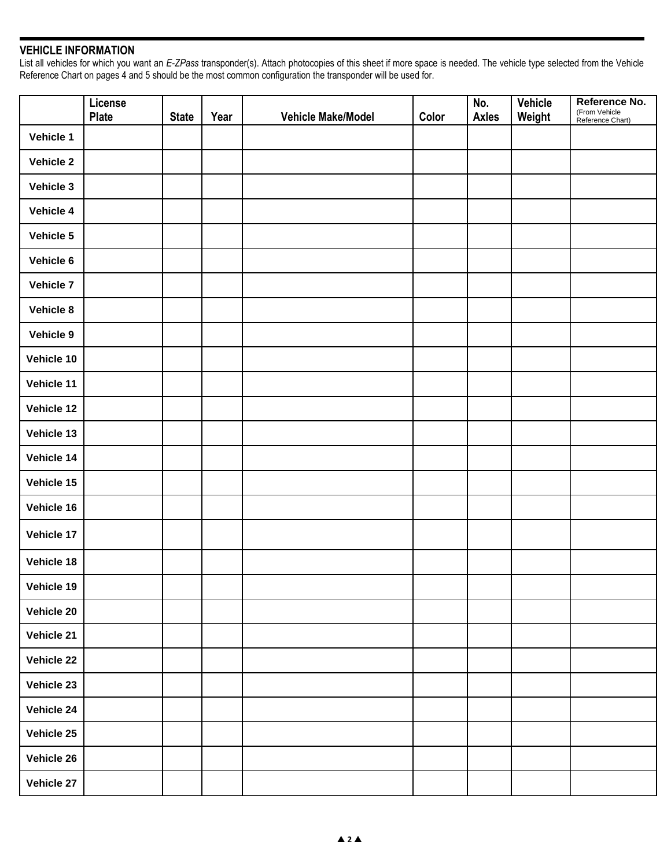# **VEHICLE INFORMATION**

List all vehicles for which you want an *E-ZPass* transponder(s). Attach photocopies of this sheet if more space is needed. The vehicle type selected from the Vehicle Reference Chart on pages 4 and 5 should be the most common configuration the transponder will be used for.

|                  | License<br><b>Plate</b> | <b>State</b> | Year | Vehicle Make/Model | Color | No.<br><b>Axles</b> | <b>Vehicle</b><br>Weight | Reference No.<br>(From Vehicle<br>Reference Chart) |
|------------------|-------------------------|--------------|------|--------------------|-------|---------------------|--------------------------|----------------------------------------------------|
| Vehicle 1        |                         |              |      |                    |       |                     |                          |                                                    |
| Vehicle 2        |                         |              |      |                    |       |                     |                          |                                                    |
| Vehicle 3        |                         |              |      |                    |       |                     |                          |                                                    |
| Vehicle 4        |                         |              |      |                    |       |                     |                          |                                                    |
| Vehicle 5        |                         |              |      |                    |       |                     |                          |                                                    |
| Vehicle 6        |                         |              |      |                    |       |                     |                          |                                                    |
| <b>Vehicle 7</b> |                         |              |      |                    |       |                     |                          |                                                    |
| Vehicle 8        |                         |              |      |                    |       |                     |                          |                                                    |
| Vehicle 9        |                         |              |      |                    |       |                     |                          |                                                    |
| Vehicle 10       |                         |              |      |                    |       |                     |                          |                                                    |
| Vehicle 11       |                         |              |      |                    |       |                     |                          |                                                    |
| Vehicle 12       |                         |              |      |                    |       |                     |                          |                                                    |
| Vehicle 13       |                         |              |      |                    |       |                     |                          |                                                    |
| Vehicle 14       |                         |              |      |                    |       |                     |                          |                                                    |
| Vehicle 15       |                         |              |      |                    |       |                     |                          |                                                    |
| Vehicle 16       |                         |              |      |                    |       |                     |                          |                                                    |
| Vehicle 17       |                         |              |      |                    |       |                     |                          |                                                    |
| Vehicle 18       |                         |              |      |                    |       |                     |                          |                                                    |
| Vehicle 19       |                         |              |      |                    |       |                     |                          |                                                    |
| Vehicle 20       |                         |              |      |                    |       |                     |                          |                                                    |
| Vehicle 21       |                         |              |      |                    |       |                     |                          |                                                    |
| Vehicle 22       |                         |              |      |                    |       |                     |                          |                                                    |
| Vehicle 23       |                         |              |      |                    |       |                     |                          |                                                    |
| Vehicle 24       |                         |              |      |                    |       |                     |                          |                                                    |
| Vehicle 25       |                         |              |      |                    |       |                     |                          |                                                    |
| Vehicle 26       |                         |              |      |                    |       |                     |                          |                                                    |
| Vehicle 27       |                         |              |      |                    |       |                     |                          |                                                    |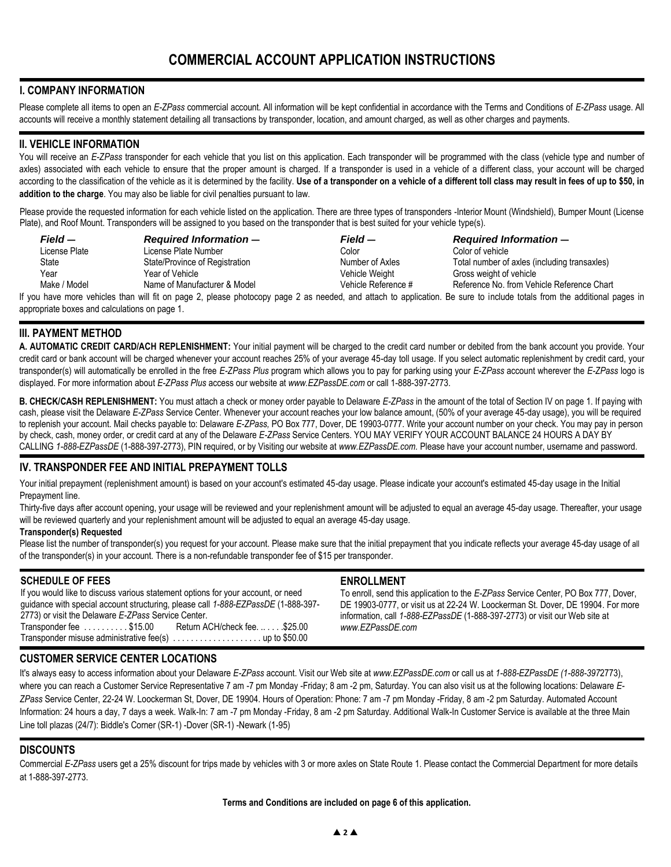# **I. COMPANY INFORMATION**

Please complete all items to open an *E-ZPass* commercial account. All information will be kept confidential in accordance with the Terms and Conditions of *E-ZPass* usage. All accounts will receive a monthly statement detailing all transactions by transponder, location, and amount charged, as well as other charges and payments.

### **II. VEHICLE INFORMATION**

You will receive an *E-ZPass* transponder for each vehicle that you list on this application. Each transponder will be programmed with the class (vehicle type and number of axles) associated with each vehicle to ensure that the proper amount is charged. If a transponder is used in a vehicle of a different class, your account will be charged according to the classification of the vehicle as it is determined by the facility. **Use of a transponder on a vehicle of a different toll class may result in fees of up to \$50, in addition to the charge**. You may also be liable for civil penalties pursuant to law.

Please provide the requested information for each vehicle listed on the application. There are three types of transponders -Interior Mount (Windshield), Bumper Mount (License Plate), and Roof Mount. Transponders will be assigned to you based on the transponder that is best suited for your vehicle type(s).

| Field —       | <b>Required Information –</b>  | Field —             | <b>Required Information-</b>                 |
|---------------|--------------------------------|---------------------|----------------------------------------------|
| License Plate | License Plate Number           | Color               | Color of vehicle                             |
| State         | State/Province of Registration | Number of Axles     | Total number of axles (including transaxles) |
| Year          | Year of Vehicle                | Vehicle Weight      | Gross weight of vehicle                      |
| Make / Model  | Name of Manufacturer & Model   | Vehicle Reference # | Reference No. from Vehicle Reference Chart   |
|               |                                |                     |                                              |

If you have more vehicles than will fit on page 2, please photocopy page 2 as needed, and attach to application. Be sure to include totals from the additional pages in appropriate boxes and calculations on page 1.

### **III. PAYMENT METHOD**

**A. AUTOMATIC CREDIT CARD/ACH REPLENISHMENT:** Your initial payment will be charged to the credit card number or debited from the bank account you provide. Your credit card or bank account will be charged whenever your account reaches 25% of your average 45-day toll usage. If you select automatic replenishment by credit card, your transponder(s) will automatically be enrolled in the free *E-ZPass Plus* program which allows you to pay for parking using your *E-ZPass* account wherever the *E-ZPass* logo is displayed. For more information about *E-ZPass Plus* access our website at *www.EZPassDE.com* or call 1-888-397-2773.

**B. CHECK/CASH REPLENISHMENT:** You must attach a check or money order payable to Delaware *E-ZPass* in the amount of the total of Section IV on page 1. If paying with cash, please visit the Delaware *E-ZPass* Service Center. Whenever your account reaches your low balance amount, (50% of your average 45-day usage), you will be required to replenish your account. Mail checks payable to: Delaware *E-ZPass,* PO Box 777, Dover, DE 19903-0777. Write your account number on your check. You may pay in person by check, cash, money order, or credit card at any of the Delaware *E-ZPass* Service Centers. YOU MAY VERIFY YOUR ACCOUNT BALANCE 24 HOURS A DAY BY CALLING *1-888-EZPassDE* (1-888-397-2773), PIN required, or by Visiting our website at *www.EZPassDE.com.* Please have your account number, username and password.

### **IV. TRANSPONDER FEE AND INITIAL PREPAYMENT TOLLS**

Your initial prepayment (replenishment amount) is based on your account's estimated 45-day usage. Please indicate your account's estimated 45-day usage in the Initial Prepayment line.

Thirty-five days after account opening, your usage will be reviewed and your replenishment amount will be adjusted to equal an average 45-day usage. Thereafter, your usage will be reviewed quarterly and your replenishment amount will be adjusted to equal an average 45-day usage.

#### **Transponder(s) Requested**

Please list the number of transponder(s) you request for your account. Please make sure that the initial prepayment that you indicate reflects your average 45-day usage of all of the transponder(s) in your account. There is a non-refundable transponder fee of \$15 per transponder.

### **SCHEDULE OF FEES**

If you would like to discuss various statement options for your account, or need guidance with special account structuring, please call *1-888-EZPassDE* (1-888-397- 2773) or visit the Delaware *E-ZPass* Service Center.

 $Transporter fee \ldots \ldots \ldots$ \$15.00 Transponder misuse administrative fee(s) . . . . . . . . . . . . . . . . . . . . up to \$50.00

#### **ENROLLMENT**

To enroll, send this application to the *E-ZPass* Service Center, PO Box 777, Dover, DE 19903-0777, or visit us at 22-24 W. Loockerman St. Dover, DE 19904. For more information, call *1-888-EZPassDE* (1-888-397-2773) or visit our Web site at *www.EZPassDE.com*

### **CUSTOMER SERVICE CENTER LOCATIONS**

It's always easy to access information about your Delaware *E-ZPass* account. Visit our Web site at *www.EZPassDE.com* or call us at *1-888-EZPassDE (1-888-397*2773), where you can reach a Customer Service Representative 7 am -7 pm Monday -Friday; 8 am -2 pm, Saturday. You can also visit us at the following locations: Delaware *E-ZPass* Service Center, 22-24 W. Loockerman St, Dover, DE 19904. Hours of Operation: Phone: 7 am -7 pm Monday -Friday, 8 am -2 pm Saturday. Automated Account Information: 24 hours a day, 7 days a week. Walk-In: 7 am -7 pm Monday -Friday, 8 am -2 pm Saturday. Additional Walk-In Customer Service is available at the three Main Line toll plazas (24/7): Biddle's Corner (SR-1) -Dover (SR-1) -Newark (1-95)

### **DISCOUNTS**

Commercial *E-ZPass* users get a 25% discount for trips made by vehicles with 3 or more axles on State Route 1. Please contact the Commercial Department for more details at 1-888-397-2773.

**Terms and Conditions are included on page 6 of this application.**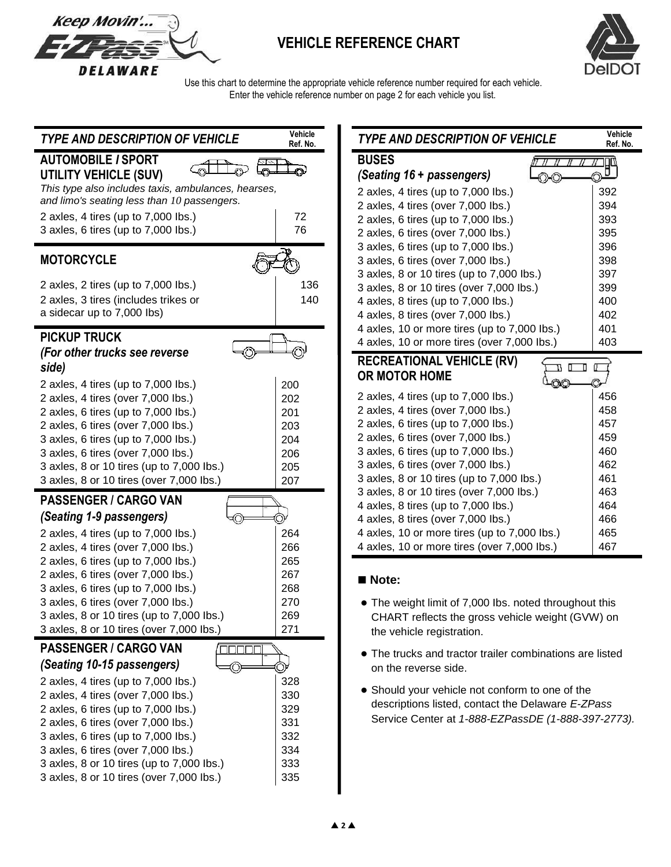

# **VEHICLE REFERENCE CHART**



 Use this chart to determine the appropriate vehicle reference number required for each vehicle. Enter the vehicle reference number on page 2 for each vehicle you list.

| <b>TYPE AND DESCRIPTION OF VEHICLE</b>                                                | Vehicle<br>Ref. No. | TYPE AND DESCRIPTION OF VEHICLE                                                 | Vehicle<br>Ref. No. |
|---------------------------------------------------------------------------------------|---------------------|---------------------------------------------------------------------------------|---------------------|
| <b>AUTOMOBILE / SPORT</b>                                                             |                     | <b>BUSES</b>                                                                    |                     |
| UTILITY VEHICLE (SUV)                                                                 |                     | (Seating 16 + passengers)<br>OC                                                 | 門                   |
| This type also includes taxis, ambulances, hearses,                                   |                     | 2 axles, 4 tires (up to 7,000 lbs.)                                             | 392                 |
| and limo's seating less than 10 passengers.                                           |                     | 2 axles, 4 tires (over 7,000 lbs.)                                              | 394                 |
| 2 axles, 4 tires (up to 7,000 lbs.)                                                   | 72                  | 2 axles, 6 tires (up to 7,000 lbs.)                                             | 393                 |
| 3 axles, 6 tires (up to 7,000 lbs.)                                                   | 76                  | 2 axles, 6 tires (over 7,000 lbs.)                                              | 395                 |
|                                                                                       |                     | 3 axles, 6 tires (up to 7,000 lbs.)                                             | 396                 |
| <b>MOTORCYCLE</b>                                                                     |                     | 3 axles, 6 tires (over 7,000 lbs.)                                              | 398                 |
| 2 axles, 2 tires (up to 7,000 lbs.)                                                   | 136                 | 3 axles, 8 or 10 tires (up to 7,000 lbs.)                                       | 397                 |
| 2 axles, 3 tires (includes trikes or                                                  | 140                 | 3 axles, 8 or 10 tires (over 7,000 lbs.)<br>4 axles, 8 tires (up to 7,000 lbs.) | 399<br>400          |
| a sidecar up to 7,000 lbs)                                                            |                     | 4 axles, 8 tires (over 7,000 lbs.)                                              | 402                 |
|                                                                                       |                     | 4 axles, 10 or more tires (up to 7,000 lbs.)                                    | 401                 |
| <b>PICKUP TRUCK</b>                                                                   |                     | 4 axles, 10 or more tires (over 7,000 lbs.)                                     | 403                 |
| (For other trucks see reverse                                                         |                     |                                                                                 |                     |
| side)                                                                                 |                     | <b>RECREATIONAL VEHICLE (RV)</b><br><b>OR MOTOR HOME</b>                        | B O D               |
| 2 axles, 4 tires (up to 7,000 lbs.)                                                   | 200                 |                                                                                 |                     |
| 2 axles, 4 tires (over 7,000 lbs.)                                                    | 202                 | 2 axles, 4 tires (up to 7,000 lbs.)                                             | 456                 |
| 2 axles, 6 tires (up to 7,000 lbs.)                                                   | 201                 | 2 axles, 4 tires (over 7,000 lbs.)                                              | 458                 |
| 2 axles, 6 tires (over 7,000 lbs.)                                                    | 203                 | 2 axles, 6 tires (up to 7,000 lbs.)                                             | 457                 |
| 3 axles, 6 tires (up to 7,000 lbs.)                                                   | 204                 | 2 axles, 6 tires (over 7,000 lbs.)                                              | 459                 |
| 3 axles, 6 tires (over 7,000 lbs.)                                                    | 206                 | 3 axles, 6 tires (up to 7,000 lbs.)<br>3 axles, 6 tires (over 7,000 lbs.)       | 460<br>462          |
| 3 axles, 8 or 10 tires (up to 7,000 lbs.)<br>3 axles, 8 or 10 tires (over 7,000 lbs.) | 205<br>207          | 3 axles, 8 or 10 tires (up to 7,000 lbs.)                                       | 461                 |
|                                                                                       |                     | 3 axles, 8 or 10 tires (over 7,000 lbs.)                                        | 463                 |
| <b>PASSENGER / CARGO VAN</b>                                                          |                     | 4 axles, 8 tires (up to 7,000 lbs.)                                             | 464                 |
| (Seating 1-9 passengers)                                                              |                     | 4 axles, 8 tires (over 7,000 lbs.)                                              | 466                 |
| 2 axles, 4 tires (up to 7,000 lbs.)                                                   | 264                 | 4 axles, 10 or more tires (up to 7,000 lbs.)                                    | 465                 |
| 2 axles, 4 tires (over 7,000 lbs.)                                                    | 266                 | 4 axles, 10 or more tires (over 7,000 lbs.)                                     | 467                 |
| 2 axles, 6 tires (up to 7,000 lbs.)                                                   | 265                 |                                                                                 |                     |
| 2 axles, 6 tires (over 7,000 lbs.)                                                    | 267                 | Note:                                                                           |                     |
| 3 axles, 6 tires (up to 7,000 lbs.)                                                   | 268                 |                                                                                 |                     |
| 3 axles, 6 tires (over 7,000 lbs.)                                                    | 270                 | • The weight limit of 7,000 lbs. noted throughout this                          |                     |
| 3 axles, 8 or 10 tires (up to 7,000 lbs.)                                             | 269<br>271          | CHART reflects the gross vehicle weight (GVW) on                                |                     |
| 3 axles, 8 or 10 tires (over 7,000 lbs.)                                              |                     | the vehicle registration.                                                       |                     |
| <b>PASSENGER / CARGO VAN</b>                                                          |                     | • The trucks and tractor trailer combinations are listed                        |                     |
| (Seating 10-15 passengers)                                                            | V                   | on the reverse side.                                                            |                     |
| 2 axles, 4 tires (up to 7,000 lbs.)                                                   | 328                 | • Should your vehicle not conform to one of the                                 |                     |
| 2 axles, 4 tires (over 7,000 lbs.)<br>2 axles, 6 tires (up to 7,000 lbs.)             | 330<br>329          | descriptions listed, contact the Delaware E-ZPass                               |                     |
| 2 axles, 6 tires (over 7,000 lbs.)                                                    | 331                 | Service Center at 1-888-EZPassDE (1-888-397-2773).                              |                     |
| 3 axles, 6 tires (up to 7,000 lbs.)                                                   | 332                 |                                                                                 |                     |
| 3 axles, 6 tires (over 7,000 lbs.)                                                    | 334                 |                                                                                 |                     |
| 3 axles, 8 or 10 tires (up to 7,000 lbs.)                                             | 333                 |                                                                                 |                     |
| 3 axles, 8 or 10 tires (over 7,000 lbs.)                                              | 335                 |                                                                                 |                     |
|                                                                                       |                     |                                                                                 |                     |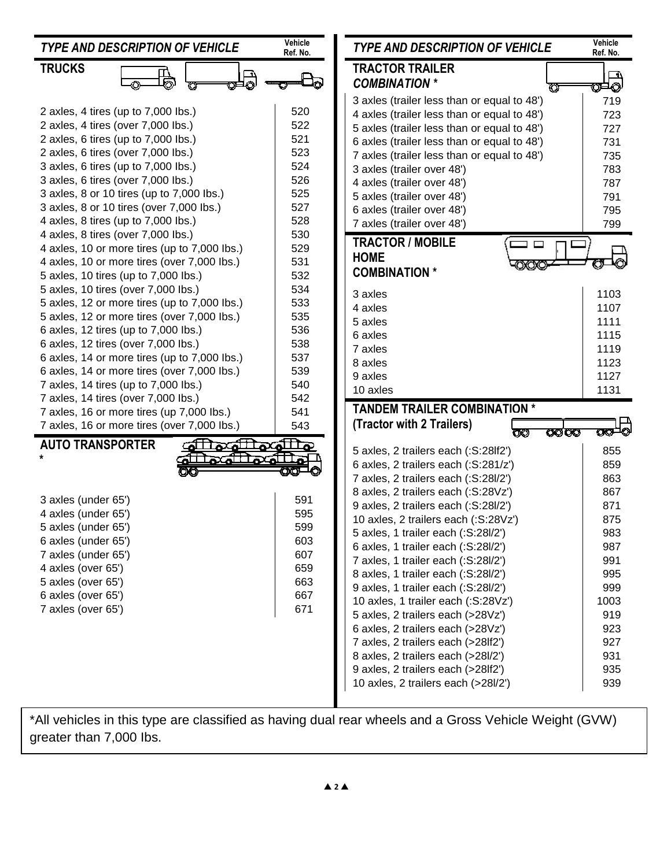| <b>TYPE AND DESCRIPTION OF VEHICLE</b>       | Vehicle<br>Ref. No. | <b>TYPE AND DESCRIPTION OF VEHICLE</b>      | Vehicle<br>Ref. No. |
|----------------------------------------------|---------------------|---------------------------------------------|---------------------|
| <b>TRUCKS</b>                                |                     | <b>TRACTOR TRAILER</b>                      | - 11                |
|                                              |                     | <b>COMBINATION *</b>                        | യ⊐⊘                 |
|                                              |                     | 3 axles (trailer less than or equal to 48') | 719                 |
| 2 axles, 4 tires (up to 7,000 lbs.)          | 520                 | 4 axles (trailer less than or equal to 48') | 723                 |
| 2 axles, 4 tires (over 7,000 lbs.)           | 522                 | 5 axles (trailer less than or equal to 48') | 727                 |
| 2 axles, 6 tires (up to 7,000 lbs.)          | 521                 | 6 axles (trailer less than or equal to 48') | 731                 |
| 2 axles, 6 tires (over 7,000 lbs.)           | 523                 | 7 axles (trailer less than or equal to 48') | 735                 |
| 3 axles, 6 tires (up to 7,000 lbs.)          | 524                 | 3 axles (trailer over 48')                  | 783                 |
| 3 axles, 6 tires (over 7,000 lbs.)           | 526                 | 4 axles (trailer over 48')                  | 787                 |
| 3 axles, 8 or 10 tires (up to 7,000 lbs.)    | 525                 | 5 axles (trailer over 48')                  | 791                 |
| 3 axles, 8 or 10 tires (over 7,000 lbs.)     | 527                 | 6 axles (trailer over 48')                  | 795                 |
| 4 axles, 8 tires (up to 7,000 lbs.)          | 528                 | 7 axles (trailer over 48')                  | 799                 |
| 4 axles, 8 tires (over 7,000 lbs.)           | 530                 | <b>TRACTOR / MOBILE</b>                     |                     |
| 4 axles, 10 or more tires (up to 7,000 lbs.) | 529                 | <b>HOME</b>                                 |                     |
| 4 axles, 10 or more tires (over 7,000 lbs.)  | 531                 | <b>COMBINATION *</b>                        |                     |
| 5 axles, 10 tires (up to 7,000 lbs.)         | 532                 |                                             |                     |
| 5 axles, 10 tires (over 7,000 lbs.)          | 534                 | 3 axles                                     | 1103                |
| 5 axles, 12 or more tires (up to 7,000 lbs.) | 533                 | 4 axles                                     | 1107                |
| 5 axles, 12 or more tires (over 7,000 lbs.)  | 535                 | 5 axles                                     | 1111                |
| 6 axles, 12 tires (up to 7,000 lbs.)         | 536                 | 6 axles                                     | 1115                |
| 6 axles, 12 tires (over 7,000 lbs.)          | 538                 | 7 axles                                     | 1119                |
| 6 axles, 14 or more tires (up to 7,000 lbs.) | 537                 | 8 axles                                     | 1123                |
| 6 axles, 14 or more tires (over 7,000 lbs.)  | 539                 | 9 axles                                     | 1127                |
| 7 axles, 14 tires (up to 7,000 lbs.)         | 540                 | 10 axles                                    | 1131                |
| 7 axles, 14 tires (over 7,000 lbs.)          | 542                 | <b>TANDEM TRAILER COMBINATION *</b>         |                     |
| 7 axles, 16 or more tires (up 7,000 lbs.)    | 541<br>543          | (Tractor with 2 Trailers)                   |                     |
| 7 axles, 16 or more tires (over 7,000 lbs.)  |                     | অতত<br>ΟØ                                   | $\infty$ - $\circ$  |
| <b>AUTO TRANSPORTER</b><br>مللهمللهما        |                     | 5 axles, 2 trailers each (:S:28lf2')        | 855                 |
|                                              |                     | 6 axles, 2 trailers each (:S:281/z')        | 859                 |
|                                              |                     | 7 axles, 2 trailers each (:S:28l/2')        | 863                 |
|                                              |                     | 8 axles, 2 trailers each (:S:28Vz')         | 867                 |
| 3 axles (under 65')                          | 591                 | 9 axles, 2 trailers each (:S:28l/2')        | 871                 |
| 4 axles (under 65')                          | 595                 | 10 axles, 2 trailers each (:S:28Vz')        | 875                 |
| 5 axles (under 65')                          | 599                 | 5 axles, 1 trailer each (:S:28l/2')         | 983                 |
| 6 axles (under 65')                          | 603                 | 6 axles, 1 trailer each (:S:28l/2')         | 987                 |
| 7 axles (under 65')                          | 607                 | 7 axles, 1 trailer each (:S:28l/2')         | 991                 |
| 4 axles (over 65')                           | 659                 | 8 axles, 1 trailer each (:S:28l/2')         | 995                 |
| 5 axles (over 65')                           | 663                 | 9 axles, 1 trailer each (:S:28l/2')         | 999                 |
| 6 axles (over 65')                           | 667                 | 10 axles, 1 trailer each (:S:28Vz')         | 1003                |
| 7 axles (over 65')                           | 671                 | 5 axles, 2 trailers each (>28Vz')           | 919                 |
|                                              |                     | 6 axles, 2 trailers each (>28Vz')           | 923                 |
|                                              |                     | 7 axles, 2 trailers each (>28lf2')          | 927                 |
|                                              |                     | 8 axles, 2 trailers each (>28l/2')          | 931                 |
|                                              |                     | 9 axles, 2 trailers each (>28lf2')          | 935                 |
|                                              |                     | 10 axles, 2 trailers each (>28l/2')         | 939                 |
|                                              |                     |                                             |                     |

\*All vehicles in this type are classified as having dual rear wheels and a Gross Vehicle Weight (GVW) greater than 7,000 Ibs.